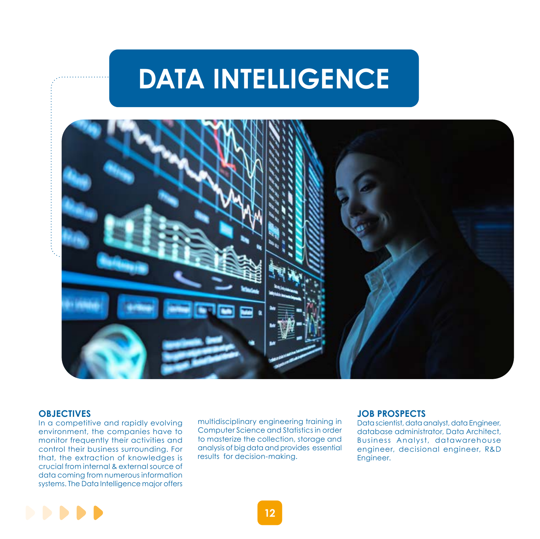# **DATA INTELLIGENCE**



### **OBJECTIVES**

In a competitive and rapidly evolving environment, the companies have to monitor frequently their activities and control their business surrounding. For that, the extraction of knowledges is crucial from internal & external source of data coming from numerous information systems. The Data Intelligence major offers

multidisciplinary engineering training in Computer Science and Statistics in order to masterize the collection, storage and analysis of big data and provides essential results for decision-making.

#### **JOB PROSPECTS**

Data scientist, data analyst, data Engineer, database administrator, Data Architect, Business Analyst, datawarehouse engineer, decisional engineer, R&D Engineer.